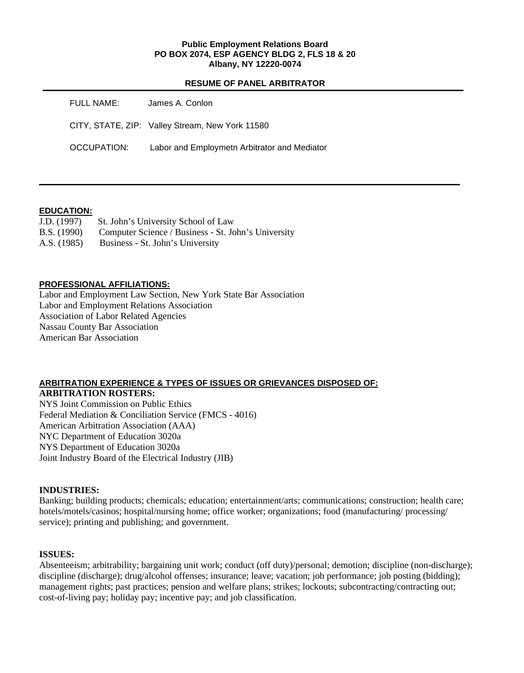#### **Public Employment Relations Board PO BOX 2074, ESP AGENCY BLDG 2, FLS 18 & 20 Albany, NY 12220-0074**

### **RESUME OF PANEL ARBITRATOR**

| FULL NAME:  | James A. Conlon                                 |
|-------------|-------------------------------------------------|
|             | CITY, STATE, ZIP: Valley Stream, New York 11580 |
| OCCUPATION: | Labor and Employmeth Arbitrator and Mediator    |

## **EDUCATION:**

| J.D. (1997) | St. John's University School of Law                 |
|-------------|-----------------------------------------------------|
| B.S. (1990) | Computer Science / Business - St. John's University |
| A.S. (1985) | Business - St. John's University                    |

## **PROFESSIONAL AFFILIATIONS:**

Labor and Employment Law Section, New York State Bar Association Labor and Employment Relations Association Association of Labor Related Agencies Nassau County Bar Association American Bar Association

#### **ARBITRATION EXPERIENCE & TYPES OF ISSUES OR GRIEVANCES DISPOSED OF: ARBITRATION ROSTERS:**

NYS Joint Commission on Public Ethics Federal Mediation & Conciliation Service (FMCS - 4016) American Arbitration Association (AAA) NYC Department of Education 3020a NYS Department of Education 3020a Joint Industry Board of the Electrical Industry (JIB)

## **INDUSTRIES:**

Banking; building products; chemicals; education; entertainment/arts; communications; construction; health care; hotels/motels/casinos; hospital/nursing home; office worker; organizations; food (manufacturing/ processing/ service); printing and publishing; and government.

### **ISSUES:**

Absenteeism; arbitrability; bargaining unit work; conduct (off duty)/personal; demotion; discipline (non-discharge); discipline (discharge); drug/alcohol offenses; insurance; leave; vacation; job performance; job posting (bidding); management rights; past practices; pension and welfare plans; strikes; lockouts; subcontracting/contracting out; cost-of-living pay; holiday pay; incentive pay; and job classification.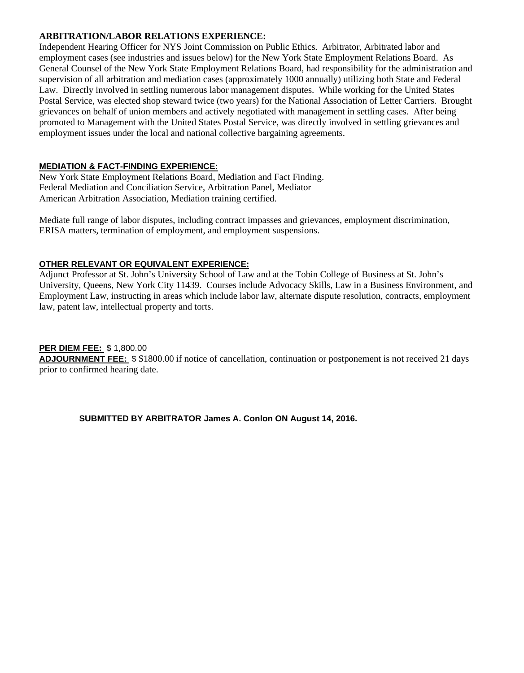## **ARBITRATION/LABOR RELATIONS EXPERIENCE:**

Independent Hearing Officer for NYS Joint Commission on Public Ethics. Arbitrator, Arbitrated labor and employment cases (see industries and issues below) for the New York State Employment Relations Board. As General Counsel of the New York State Employment Relations Board, had responsibility for the administration and supervision of all arbitration and mediation cases (approximately 1000 annually) utilizing both State and Federal Law. Directly involved in settling numerous labor management disputes. While working for the United States Postal Service, was elected shop steward twice (two years) for the National Association of Letter Carriers. Brought grievances on behalf of union members and actively negotiated with management in settling cases. After being promoted to Management with the United States Postal Service, was directly involved in settling grievances and employment issues under the local and national collective bargaining agreements.

## **MEDIATION & FACT-FINDING EXPERIENCE:**

New York State Employment Relations Board, Mediation and Fact Finding. Federal Mediation and Conciliation Service, Arbitration Panel, Mediator American Arbitration Association, Mediation training certified.

Mediate full range of labor disputes, including contract impasses and grievances, employment discrimination, ERISA matters, termination of employment, and employment suspensions.

# **OTHER RELEVANT OR EQUIVALENT EXPERIENCE:**

Adjunct Professor at St. John's University School of Law and at the Tobin College of Business at St. John's University, Queens, New York City 11439. Courses include Advocacy Skills, Law in a Business Environment, and Employment Law, instructing in areas which include labor law, alternate dispute resolution, contracts, employment law, patent law, intellectual property and torts.

## **PER DIEM FEE:** \$ 1,800.00

**ADJOURNMENT FEE:** \$ \$1800.00 if notice of cancellation, continuation or postponement is not received 21 days prior to confirmed hearing date.

**SUBMITTED BY ARBITRATOR James A. Conlon ON August 14, 2016.**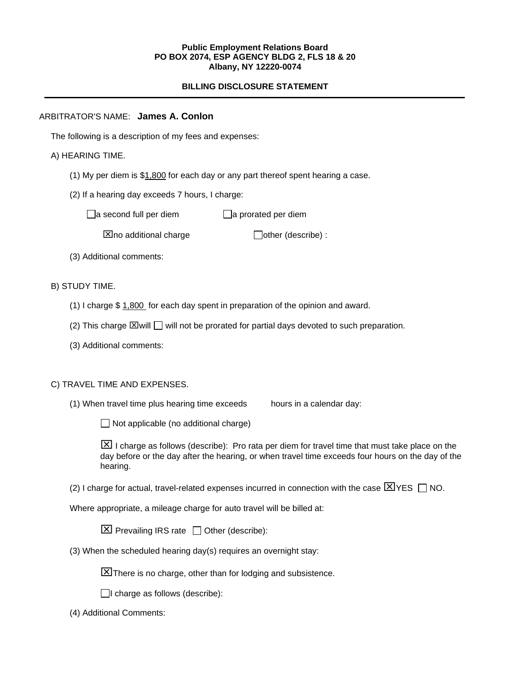#### **Public Employment Relations Board PO BOX 2074, ESP AGENCY BLDG 2, FLS 18 & 20 Albany, NY 12220-0074**

# **BILLING DISCLOSURE STATEMENT**

## ARBITRATOR'S NAME: **James A. Conlon**

The following is a description of my fees and expenses:

## A) HEARING TIME.

- (1) My per diem is \$1,800 for each day or any part thereof spent hearing a case.
- (2) If a hearing day exceeds 7 hours, I charge:

 $\Box$ a second full per diem  $\Box$ a prorated per diem

 $\boxtimes$  no additional charge  $\Box$  other (describe) :

(3) Additional comments:

## B) STUDY TIME.

- (1) I charge \$ 1,800 for each day spent in preparation of the opinion and award.
- (2) This charge  $\boxtimes$  will  $\Box$  will not be prorated for partial days devoted to such preparation.
- (3) Additional comments:

## C) TRAVEL TIME AND EXPENSES.

(1) When travel time plus hearing time exceeds hours in a calendar day:

 $\Box$  Not applicable (no additional charge)

 $\boxed{\times}$  I charge as follows (describe): Pro rata per diem for travel time that must take place on the day before or the day after the hearing, or when travel time exceeds four hours on the day of the hearing.

(2) I charge for actual, travel-related expenses incurred in connection with the case  $\boxtimes$  YES  $\Box$  NO.

Where appropriate, a mileage charge for auto travel will be billed at:

 $\boxtimes$  Prevailing IRS rate  $\Box$  Other (describe):

(3) When the scheduled hearing day(s) requires an overnight stay:

There is no charge, other than for lodging and subsistence.

 $\Box$ I charge as follows (describe):

(4) Additional Comments: